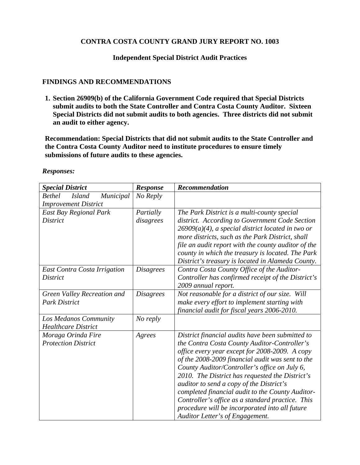## **CONTRA COSTA COUNTY GRAND JURY REPORT NO. 1003**

## **Independent Special District Audit Practices**

## **FINDINGS AND RECOMMENDATIONS**

**1. Section 26909(b) of the California Government Code required that Special Districts submit audits to both the State Controller and Contra Costa County Auditor. Sixteen Special Districts did not submit audits to both agencies. Three districts did not submit an audit to either agency.** 

**Recommendation: Special Districts that did not submit audits to the State Controller and the Contra Costa County Auditor need to institute procedures to ensure timely submissions of future audits to these agencies.** 

| <b>Special District</b>                     | <b>Response</b>  | Recommendation                                       |
|---------------------------------------------|------------------|------------------------------------------------------|
| <b>Bethel</b><br>Municipal<br><i>Island</i> | No Reply         |                                                      |
| <b>Improvement District</b>                 |                  |                                                      |
| East Bay Regional Park                      | Partially        | The Park District is a multi-county special          |
| District                                    | disagrees        | district. According to Government Code Section       |
|                                             |                  | $26909(a)(4)$ , a special district located in two or |
|                                             |                  | more districts, such as the Park District, shall     |
|                                             |                  | file an audit report with the county auditor of the  |
|                                             |                  | county in which the treasury is located. The Park    |
|                                             |                  | District's treasury is located in Alameda County.    |
| East Contra Costa Irrigation                | <i>Disagrees</i> | Contra Costa County Office of the Auditor-           |
| District                                    |                  | Controller has confirmed receipt of the District's   |
|                                             |                  | 2009 annual report.                                  |
| Green Valley Recreation and                 | <i>Disagrees</i> | Not reasonable for a district of our size. Will      |
| <b>Park District</b>                        |                  | make every effort to implement starting with         |
|                                             |                  | financial audit for fiscal years 2006-2010.          |
| Los Medanos Community                       | No reply         |                                                      |
| <b>Healthcare District</b>                  |                  |                                                      |
| Moraga Orinda Fire                          | Agrees           | District financial audits have been submitted to     |
| <b>Protection District</b>                  |                  | the Contra Costa County Auditor-Controller's         |
|                                             |                  | office every year except for 2008-2009. A copy       |
|                                             |                  | of the 2008-2009 financial audit was sent to the     |
|                                             |                  | County Auditor/Controller's office on July 6,        |
|                                             |                  | 2010. The District has requested the District's      |
|                                             |                  | auditor to send a copy of the District's             |
|                                             |                  | completed financial audit to the County Auditor-     |
|                                             |                  | Controller's office as a standard practice. This     |
|                                             |                  | procedure will be incorporated into all future       |
|                                             |                  | Auditor Letter's of Engagement.                      |

*Responses:*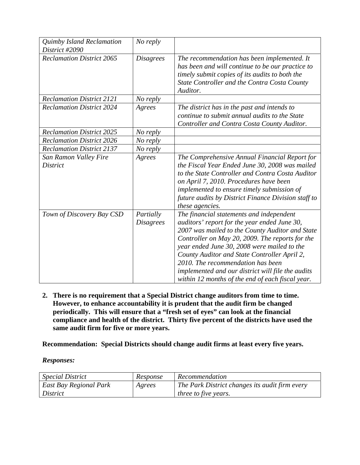| Quimby Island Reclamation<br>District #2090 | No reply                      |                                                                                                                                                                                                                                                                                                                                                                                                                                             |
|---------------------------------------------|-------------------------------|---------------------------------------------------------------------------------------------------------------------------------------------------------------------------------------------------------------------------------------------------------------------------------------------------------------------------------------------------------------------------------------------------------------------------------------------|
| <b>Reclamation District 2065</b>            | <b>Disagrees</b>              | The recommendation has been implemented. It<br>has been and will continue to be our practice to<br>timely submit copies of its audits to both the<br>State Controller and the Contra Costa County<br>Auditor.                                                                                                                                                                                                                               |
| <b>Reclamation District 2121</b>            | No reply                      |                                                                                                                                                                                                                                                                                                                                                                                                                                             |
| <b>Reclamation District 2024</b>            | Agrees                        | The district has in the past and intends to<br>continue to submit annual audits to the State<br>Controller and Contra Costa County Auditor.                                                                                                                                                                                                                                                                                                 |
| <b>Reclamation District 2025</b>            | No reply                      |                                                                                                                                                                                                                                                                                                                                                                                                                                             |
| <b>Reclamation District 2026</b>            | No reply                      |                                                                                                                                                                                                                                                                                                                                                                                                                                             |
| <b>Reclamation District 2137</b>            | No reply                      |                                                                                                                                                                                                                                                                                                                                                                                                                                             |
| San Ramon Valley Fire<br><b>District</b>    | Agrees                        | The Comprehensive Annual Financial Report for<br>the Fiscal Year Ended June 30, 2008 was mailed<br>to the State Controller and Contra Costa Auditor<br>on April 7, 2010. Procedures have been<br>implemented to ensure timely submission of<br>future audits by District Finance Division staff to<br>these agencies.                                                                                                                       |
| Town of Discovery Bay CSD                   | Partially<br><b>Disagrees</b> | The financial statements and independent<br>auditors' report for the year ended June 30,<br>2007 was mailed to the County Auditor and State<br>Controller on May 20, 2009. The reports for the<br>year ended June 30, 2008 were mailed to the<br>County Auditor and State Controller April 2,<br>2010. The recommendation has been<br>implemented and our district will file the audits<br>within 12 months of the end of each fiscal year. |

**2. There is no requirement that a Special District change auditors from time to time. However, to enhance accountability it is prudent that the audit firm be changed periodically. This will ensure that a "fresh set of eyes" can look at the financial compliance and health of the district. Thirty five percent of the districts have used the same audit firm for five or more years.** 

**Recommendation: Special Districts should change audit firms at least every five years.** 

*Responses:*

| <i>Special District</i> | Response | Recommendation                                 |
|-------------------------|----------|------------------------------------------------|
| East Bay Regional Park  | Agrees   | The Park District changes its audit firm every |
| <i>District</i>         |          | <i>three to five years.</i>                    |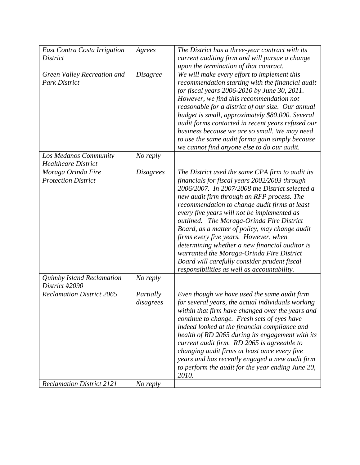| East Contra Costa Irrigation                        | Agrees                 | The District has a three-year contract with its                                                                                                                                                                                                                                                                                                                                                                                                                                                                                                                                                                                          |
|-----------------------------------------------------|------------------------|------------------------------------------------------------------------------------------------------------------------------------------------------------------------------------------------------------------------------------------------------------------------------------------------------------------------------------------------------------------------------------------------------------------------------------------------------------------------------------------------------------------------------------------------------------------------------------------------------------------------------------------|
| <i>District</i>                                     |                        | current auditing firm and will pursue a change                                                                                                                                                                                                                                                                                                                                                                                                                                                                                                                                                                                           |
|                                                     |                        | upon the termination of that contract.                                                                                                                                                                                                                                                                                                                                                                                                                                                                                                                                                                                                   |
| Green Valley Recreation and<br><b>Park District</b> | <b>Disagree</b>        | We will make every effort to implement this<br>recommendation starting with the financial audit<br>for fiscal years 2006-2010 by June 30, 2011.<br>However, we find this recommendation not<br>reasonable for a district of our size. Our annual<br>budget is small, approximately \$80,000. Several<br>audit forms contacted in recent years refused our<br>business because we are so small. We may need<br>to use the same audit forma gain simply because<br>we cannot find anyone else to do our audit.                                                                                                                             |
| Los Medanos Community<br><b>Healthcare District</b> | No reply               |                                                                                                                                                                                                                                                                                                                                                                                                                                                                                                                                                                                                                                          |
| Moraga Orinda Fire<br><b>Protection District</b>    | <b>Disagrees</b>       | The District used the same CPA firm to audit its<br>financials for fiscal years 2002/2003 through<br>2006/2007. In 2007/2008 the District selected a<br>new audit firm through an RFP process. The<br>recommendation to change audit firms at least<br>every five years will not be implemented as<br>outlined. The Moraga-Orinda Fire District<br>Board, as a matter of policy, may change audit<br>firms every five years. However, when<br>determining whether a new financial auditor is<br>warranted the Moraga-Orinda Fire District<br>Board will carefully consider prudent fiscal<br>responsibilities as well as accountability. |
| Quimby Island Reclamation<br>District #2090         | No reply               |                                                                                                                                                                                                                                                                                                                                                                                                                                                                                                                                                                                                                                          |
| <b>Reclamation District 2065</b>                    | Partially<br>disagrees | Even though we have used the same audit firm<br>for several years, the actual individuals working<br>within that firm have changed over the years and<br>continue to change. Fresh sets of eyes have<br>indeed looked at the financial compliance and<br>health of RD 2065 during its engagement with its<br>current audit firm. RD 2065 is agreeable to<br>changing audit firms at least once every five<br>years and has recently engaged a new audit firm<br>to perform the audit for the year ending June 20,<br>2010.                                                                                                               |
| <b>Reclamation District 2121</b>                    | No reply               |                                                                                                                                                                                                                                                                                                                                                                                                                                                                                                                                                                                                                                          |